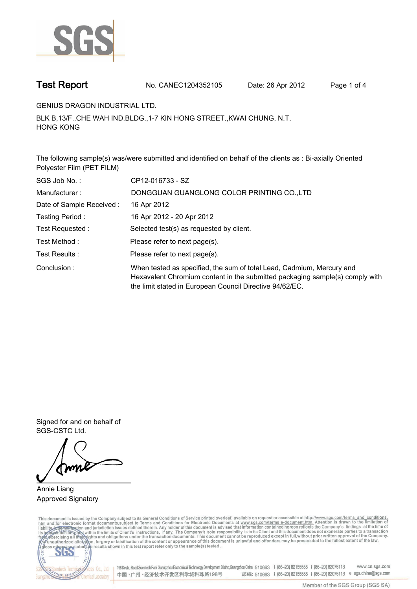

**Test Report. No. CANEC1204352105 Date: 26 Apr 2012. Page 1 of 4.**

**GENIUS DRAGON INDUSTRIAL LTD..**

**BLK B,13/F.,CHE WAH IND.BLDG.,1-7 KIN HONG STREET.,KWAI CHUNG, N.T. HONG KONG.**

**The following sample(s) was/were submitted and identified on behalf of the clients as : Bi-axially Oriented Polyester Film (PET FILM).**

| SGS Job No.:             | CP12-016733 - SZ                                                                                                                                                                                                  |  |  |  |  |
|--------------------------|-------------------------------------------------------------------------------------------------------------------------------------------------------------------------------------------------------------------|--|--|--|--|
| Manufacturer:            | DONGGUAN GUANGLONG COLOR PRINTING CO.,LTD                                                                                                                                                                         |  |  |  |  |
| Date of Sample Received: | 16 Apr 2012                                                                                                                                                                                                       |  |  |  |  |
| Testing Period:          | 16 Apr 2012 - 20 Apr 2012                                                                                                                                                                                         |  |  |  |  |
| Test Requested:          | Selected test(s) as requested by client.                                                                                                                                                                          |  |  |  |  |
| Test Method:             | Please refer to next page(s).                                                                                                                                                                                     |  |  |  |  |
| Test Results :           | Please refer to next page(s).                                                                                                                                                                                     |  |  |  |  |
| Conclusion:              | When tested as specified, the sum of total Lead, Cadmium, Mercury and<br>Hexavalent Chromium content in the submitted packaging sample(s) comply with<br>the limit stated in European Council Directive 94/62/EC. |  |  |  |  |

**Signed for and on behalf of SGS-CSTC Ltd..**

**Annie Liang. Approved Signatory.**

This document is issued by the Company subject to its General Conditions of Service printed overleaf, available on request or accessible at http://www.sgs.com/terms\_and\_conditions.<br>htm\_and, for electronic format documents,



198 Kezhu Road,Scientech Park Guangzhou Economic & Technology Development District,Guangzhou,China 510663 t (86-20) 82155555 f (86-20) 82075113 www.cn.sgs.com 邮编: 510663 t (86-20) 82155555 f (86-20) 82075113 e sgs.china@sgs.com 中国·广州·经济技术开发区科学城科珠路198号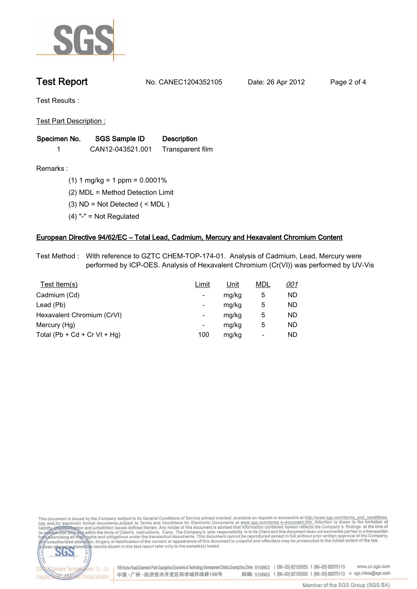

**Test Report. No. CANEC1204352105 Date: 26 Apr 2012. Page 2 of 4.**

**Test Results :.**

**Test Part Description :.**

| Specimen No. | SGS Sample ID    | <b>Description</b> |  |
|--------------|------------------|--------------------|--|
|              | CAN12-043521.001 | Transparent film   |  |

dards Teo

NG SERY

Chemical Laboratory.

**Remarks :.(1) 1 mg/kg = 1 ppm = 0.0001%.**

**(2) MDL = Method Detection Limit.**

- **(3) ND = Not Detected ( < MDL ).**
- **(4) "-" = Not Regulated.**

## **European Directive 94/62/EC – Total Lead, Cadmium, Mercury and Hexavalent Chromium Content.**

**Test Method :. With reference to GZTC CHEM-TOP-174-01. Analysis of Cadmium, Lead, Mercury were performed by ICP-OES. Analysis of Hexavalent Chromium (Cr(VI)) was performed by UV-Vis.**

| Test Item(s)                 | Limit                    | <u>Unit</u> | <b>MDL</b> | <u>001</u> |
|------------------------------|--------------------------|-------------|------------|------------|
| Cadmium (Cd)                 | ۰                        | mg/kg       | 5          | ND         |
| Lead (Pb)                    | ۰                        | mg/kg       | 5          | ND         |
| Hexavalent Chromium (CrVI)   | $\overline{\phantom{a}}$ | mg/kg       | 5          | ND         |
| Mercury (Hg)                 | ۰                        | mg/kg       | 5          | ND         |
| Total (Pb + Cd + Cr VI + Hg) | 100                      | mg/kg       |            | ND         |

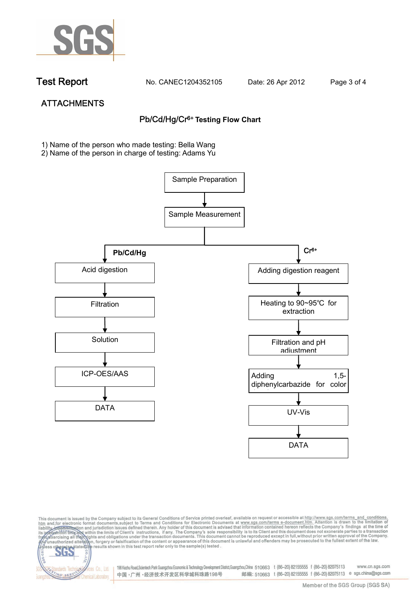

NG SER

**Chemical Laboratory** 

**Test Report. No. CANEC1204352105 Date: 26 Apr 2012. Page 3 of 4.**

# **ATTACHMENTS Pb/Cd/Hg/Cr6+ Testing Flow Chart**

**1)** Name of the person who made testing: Bella Wang

2) Name of the person in charge of testing: Adams Yu